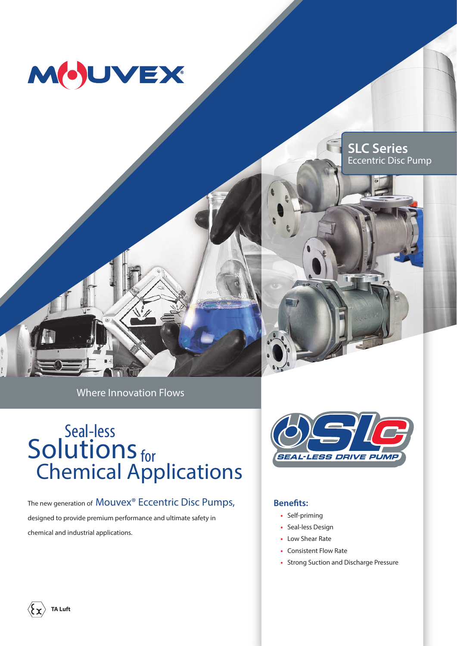





Where Innovation Flows

# **Solutions** Seal-less for Chemical Applications

The new generation of Mouvex<sup>®</sup> Eccentric Disc Pumps, designed to provide premium performance and ultimate safety in chemical and industrial applications.



#### **Benefits:**

- **•** Self-priming
- **•** Seal-less Design
- **•** Low Shear Rate
- **•** Consistent Flow Rate
- **•** Strong Suction and Discharge Pressure